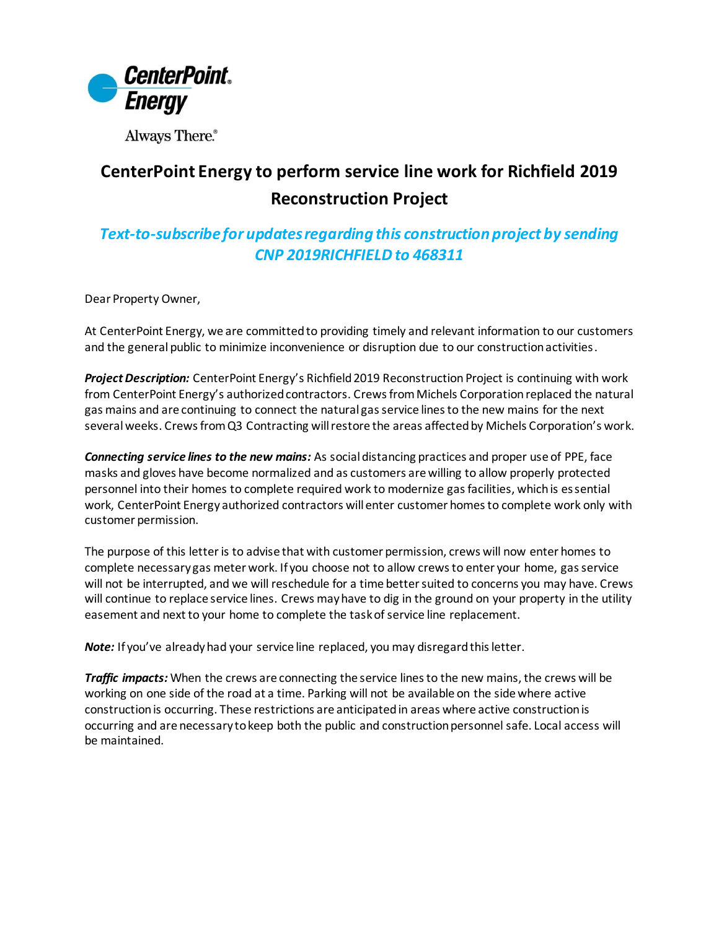

Always There.®

## **CenterPoint Energy to perform service line work for Richfield 2019 Reconstruction Project**

## *Text-to-subscribe for updates regarding this construction project by sending*  **CNP 2019RICHFIELD to 468311**

Dear Property Owner,

At CenterPoint Energy, we are committed to providing timely and relevant information to our customers and the general public to minimize inconvenience or disruption due to our construction activities.

*Project Description:* CenterPoint Energy's Richfield 2019 Reconstruction Project is continuing with work from CenterPoint Energy's authorized contractors. Crews from Michels Corporationreplaced the natural gas mains and are continuing to connect the natural gas service lines to the new mains for the next severalweeks. Crews from Q3 Contracting will restore the areas affected by Michels Corporation's work.

*Connecting service lines to the new mains:* As social distancing practices and proper use of PPE, face masks and gloves have become normalized and as customers are willing to allow properly protected personnel into their homes to complete required work to modernize gas facilities, which is essential work, CenterPoint Energy authorized contractors will enter customer homes to complete work only with customer permission.

The purpose of this letter is to advise that with customer permission, crews will now enter homes to complete necessary gas meter work. If you choose not to allow crews to enter your home, gas service will not be interrupted, and we will reschedule for a time better suited to concerns you may have. Crews will continue to replace service lines. Crews may have to dig in the ground on your property in the utility easement and next to your home to complete the task of service line replacement.

*Note:* If you've already had your service line replaced, you may disregard this letter.

*Traffic impacts:* When the crews are connecting the service lines to the new mains, the crews will be working on one side of the road at a time. Parking will not be available on the side where active construction is occurring. These restrictions are anticipated in areas where active construction is occurring and are necessary to keep both the public and construction personnel safe. Local access will be maintained.